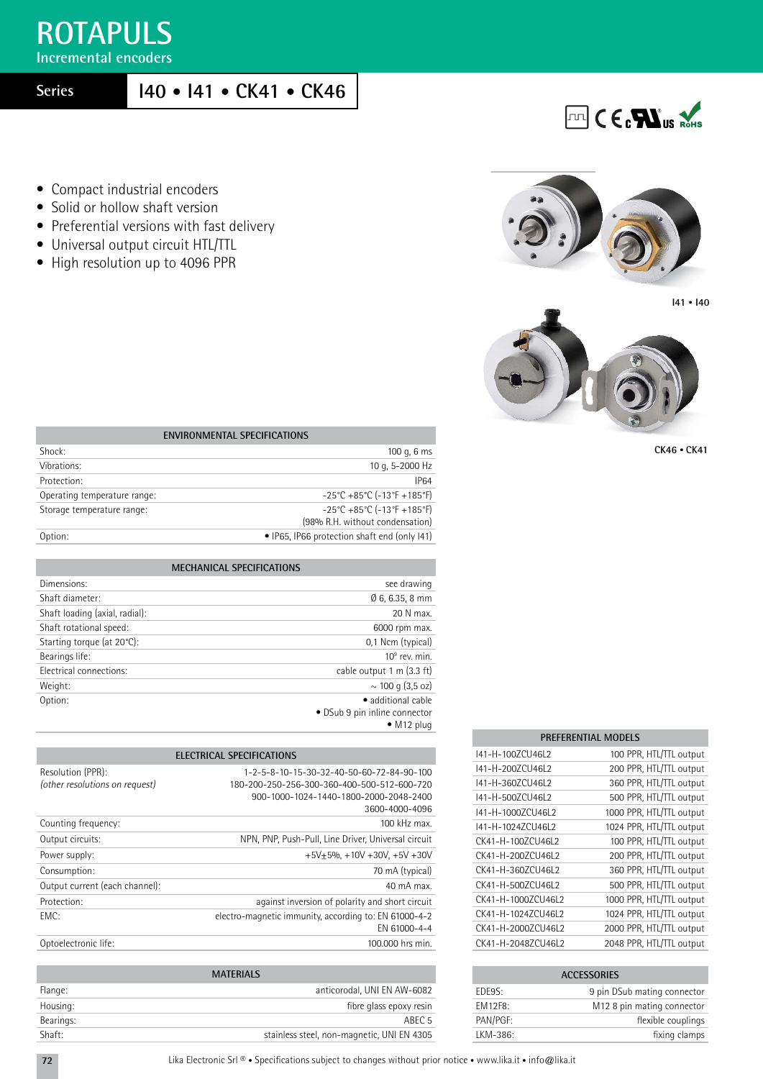## **ROTAPULS**

**Incremental encoders**

**Series**

## **I40 • I41 • CK41 • CK46**

- Compact industrial encoders
- Solid or hollow shaft version
- Preferential versions with fast delivery
- Universal output circuit HTL/TTL
- High resolution up to 4096 PPR



**FLTL** CECPLIUS ROHS



**CK46 • CK41**

| <b>ENVIRONMENTAL SPECIFICATIONS</b> |                                                                                                          |  |  |  |  |  |
|-------------------------------------|----------------------------------------------------------------------------------------------------------|--|--|--|--|--|
| Shock:                              | 100 g, $6 \text{ ms}$                                                                                    |  |  |  |  |  |
| Vibrations:                         | 10 g, 5-2000 Hz                                                                                          |  |  |  |  |  |
| Protection:                         | <b>IP64</b>                                                                                              |  |  |  |  |  |
| Operating temperature range:        | $-25^{\circ}$ C +85 $^{\circ}$ C (-13 $^{\circ}$ F +185 $^{\circ}$ F)                                    |  |  |  |  |  |
| Storage temperature range:          | $-25^{\circ}$ C +85 $^{\circ}$ C (-13 $^{\circ}$ F +185 $^{\circ}$ F)<br>(98% R.H. without condensation) |  |  |  |  |  |
| Option:                             | • IP65, IP66 protection shaft end (only 141)                                                             |  |  |  |  |  |

| <b>MECHANICAL SPECIFICATIONS</b> |                                     |
|----------------------------------|-------------------------------------|
| Dimensions:                      | see drawing                         |
| Shaft diameter:                  | $0, 6, 6.35, 8$ mm                  |
| Shaft loading (axial, radial):   | 20 N max.                           |
| Shaft rotational speed:          | 6000 rpm max.                       |
| Starting torque (at 20°C):       | 0,1 Ncm (typical)                   |
| Bearings life:                   | $10^9$ rev. min.                    |
| Electrical connections:          | cable output $1 \text{ m}$ (3.3 ft) |
| Weight:                          | $\sim$ 100 g (3,5 oz)               |
| Option:                          | • additional cable                  |
|                                  | • DSub 9 pin inline connector       |
|                                  | $\bullet$ M12 plug                  |

| <b>PREFERENTIAL MODELS</b> |                          |  |  |  |  |  |  |  |
|----------------------------|--------------------------|--|--|--|--|--|--|--|
| 141-H-1007CU46L2           | 100 PPR, HTL/TTL output  |  |  |  |  |  |  |  |
| 141-H-2007CU46L2           | 200 PPR, HTL/TTL output  |  |  |  |  |  |  |  |
| 141-H-3607CU46L2           | 360 PPR, HTL/TTL output  |  |  |  |  |  |  |  |
| 141-H-500ZCU46L2           | 500 PPR, HTL/TTL output  |  |  |  |  |  |  |  |
| 141-H-10007CU46L2          | 1000 PPR, HTL/TTL output |  |  |  |  |  |  |  |
| I41-H-1024ZCU46L2          | 1024 PPR, HTL/TTL output |  |  |  |  |  |  |  |
| CK41-H-1007CU46L2          | 100 PPR, HTL/TTL output  |  |  |  |  |  |  |  |
| CK41-H-200ZCU46L2          | 200 PPR, HTL/TTL output  |  |  |  |  |  |  |  |
| CK41-H-3607CU46L2          | 360 PPR, HTL/TTL output  |  |  |  |  |  |  |  |
| CK41-H-5007CU46L2          | 500 PPR, HTL/TTL output  |  |  |  |  |  |  |  |
| CK41-H-1000ZCU46L2         | 1000 PPR, HTL/TTL output |  |  |  |  |  |  |  |
| CK41-H-1024ZCU46L2         | 1024 PPR, HTL/TTL output |  |  |  |  |  |  |  |
| CK41-H-2000ZCU46L2         | 2000 PPR, HTL/TTL output |  |  |  |  |  |  |  |
| CK41-H-20487CU46L2         | 2048 PPR, HTL/TTL output |  |  |  |  |  |  |  |

| <b>ACCESSORIES</b> |                                        |  |  |  |  |  |
|--------------------|----------------------------------------|--|--|--|--|--|
| FDF9S:             | 9 pin DSub mating connector            |  |  |  |  |  |
| <b>FM12F8:</b>     | M <sub>12</sub> 8 pin mating connector |  |  |  |  |  |
| PAN/PGF:           | flexible couplings                     |  |  |  |  |  |
| LKM-386:           | fixing clamps                          |  |  |  |  |  |

|                                                     | <b>ELECTRICAL SPECIFICATIONS</b>                                                         |
|-----------------------------------------------------|------------------------------------------------------------------------------------------|
| Resolution (PPR):<br>(other resolutions on request) | 1-2-5-8-10-15-30-32-40-50-60-72-84-90-100<br>180-200-250-256-300-360-400-500-512-600-720 |
|                                                     | 900-1000-1024-1440-1800-2000-2048-2400                                                   |
|                                                     | 3600-4000-4096                                                                           |
| Counting frequency:                                 | $100$ kHz max                                                                            |
| Output circuits:                                    | NPN, PNP, Push-Pull, Line Driver, Universal circuit                                      |
| Power supply:                                       | $+5V+5%$ , $+10V+30V$ , $+5V+30V$                                                        |
| Consumption:                                        | 70 mA (typical)                                                                          |
| Output current (each channel):                      | 40 mA max.                                                                               |
| Protection:                                         | against inversion of polarity and short circuit                                          |
| FMC:                                                | electro-magnetic immunity, according to: EN 61000-4-2<br>EN 61000-4-4                    |
| Optoelectronic life:                                | 100,000 hrs min.                                                                         |

|           | <b>MATERIALS</b>                           |
|-----------|--------------------------------------------|
| Flange:   | anticorodal. UNI EN AW-6082                |
| Housing:  | fibre glass epoxy resin                    |
| Bearings: | ABEC <sub>5</sub>                          |
| Shaft:    | stainless steel, non-magnetic, UNI EN 4305 |

| Lika Electronic Srl ® • Specifications subject to changes without prior notice • www.lika.it • info@lika.it |  |  |  |  |  |  |  |
|-------------------------------------------------------------------------------------------------------------|--|--|--|--|--|--|--|
|-------------------------------------------------------------------------------------------------------------|--|--|--|--|--|--|--|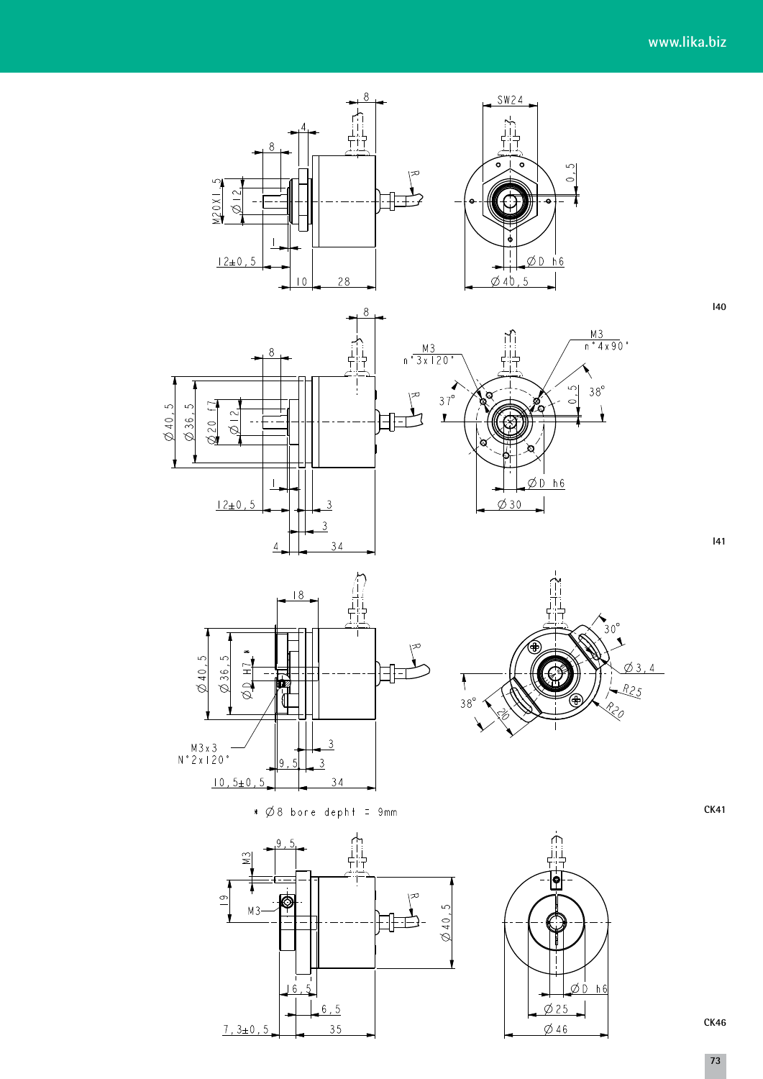$140$ 

 $|41$ 

 $\downarrow$ 

 $\emptyset$  3, 4

 $R25$ RZO





 $\overline{\mathcal{F}}$ 

 $38^\circ$ 



 $\ast$   $\emptyset$  8 bore deph + = 9mm





**CK41** 

CK46

73